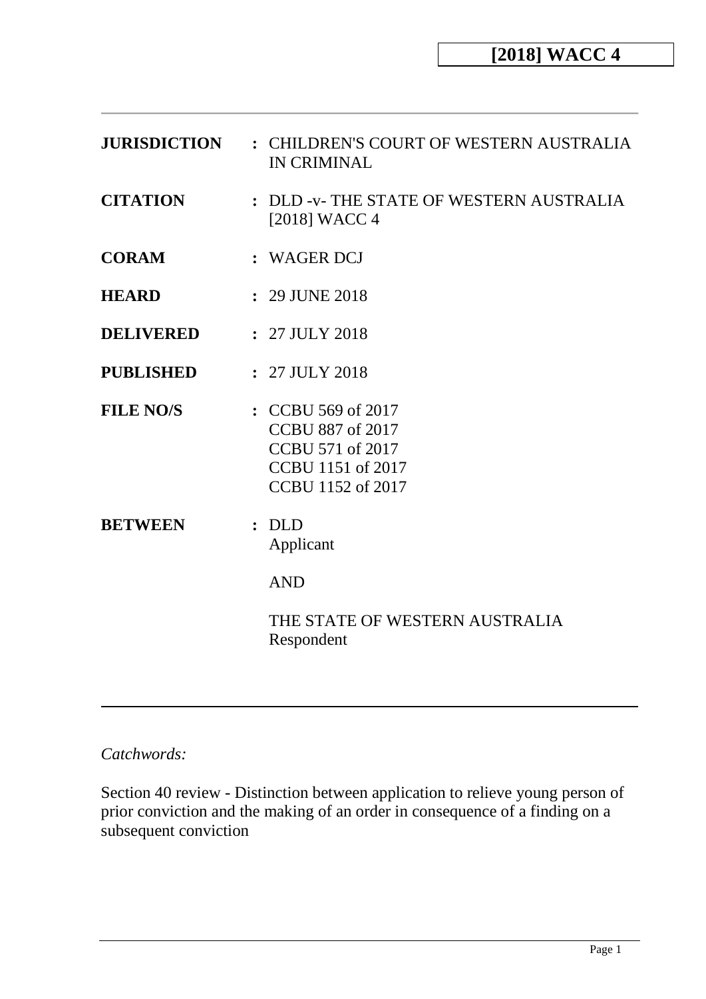| <b>JURISDICTION</b> | : CHILDREN'S COURT OF WESTERN AUSTRALIA<br><b>IN CRIMINAL</b>                                                      |
|---------------------|--------------------------------------------------------------------------------------------------------------------|
| <b>CITATION</b>     | : DLD -v- THE STATE OF WESTERN AUSTRALIA<br>$[2018]$ WACC 4                                                        |
| <b>CORAM</b>        | : WAGER DCJ                                                                                                        |
| <b>HEARD</b>        | : 29 JUNE 2018                                                                                                     |
| <b>DELIVERED</b>    | $: 27$ JULY 2018                                                                                                   |
| <b>PUBLISHED</b>    | : 27 JULY 2018                                                                                                     |
| <b>FILE NO/S</b>    | : CCBU 569 of 2017<br><b>CCBU 887 of 2017</b><br>CCBU 571 of 2017<br><b>CCBU</b> 1151 of 2017<br>CCBU 1152 of 2017 |
| <b>BETWEEN</b>      | : DLD<br>Applicant                                                                                                 |
|                     | <b>AND</b>                                                                                                         |
|                     | THE STATE OF WESTERN AUSTRALIA<br>Respondent                                                                       |
|                     |                                                                                                                    |

# *Catchwords:*

Section 40 review - Distinction between application to relieve young person of prior conviction and the making of an order in consequence of a finding on a subsequent conviction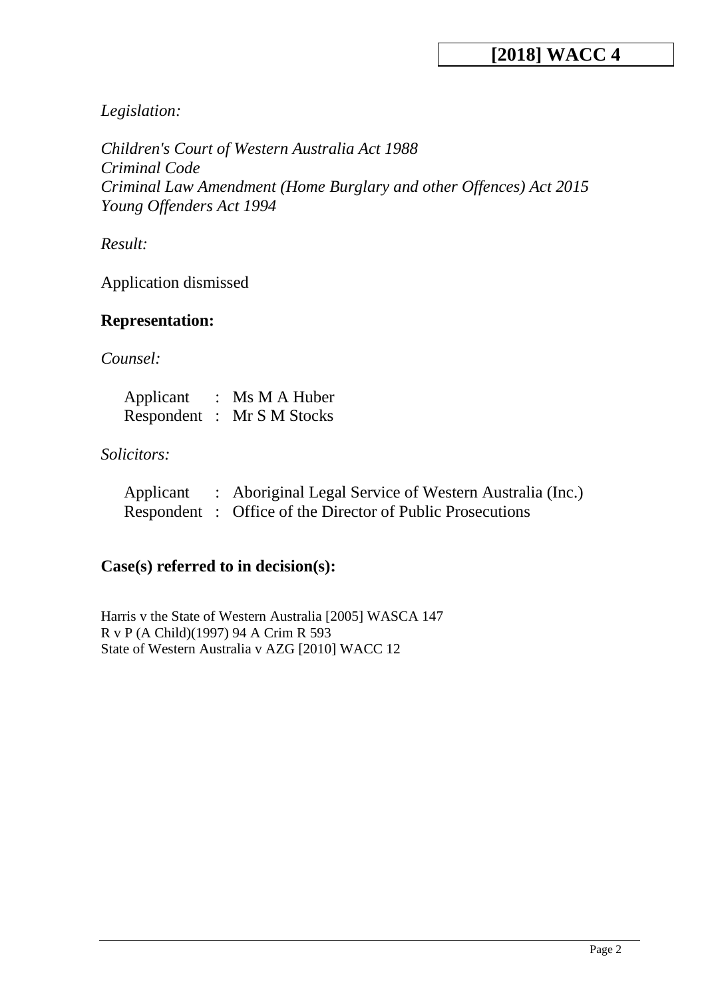# *Legislation:*

*Children's Court of Western Australia Act 1988 Criminal Code Criminal Law Amendment (Home Burglary and other Offences) Act 2015 Young Offenders Act 1994*

*Result:*

Application dismissed

# **Representation:**

*Counsel:*

| Applicant | : $Ms M A Huber$           |
|-----------|----------------------------|
|           | Respondent : Mr S M Stocks |

# *Solicitors:*

| Applicant | Aboriginal Legal Service of Western Australia (Inc.)      |
|-----------|-----------------------------------------------------------|
|           | Respondent: Office of the Director of Public Prosecutions |

# **Case(s) referred to in decision(s):**

Harris v the State of Western Australia [2005] WASCA 147 R v P (A Child)(1997) 94 A Crim R 593 State of Western Australia v AZG [2010] WACC 12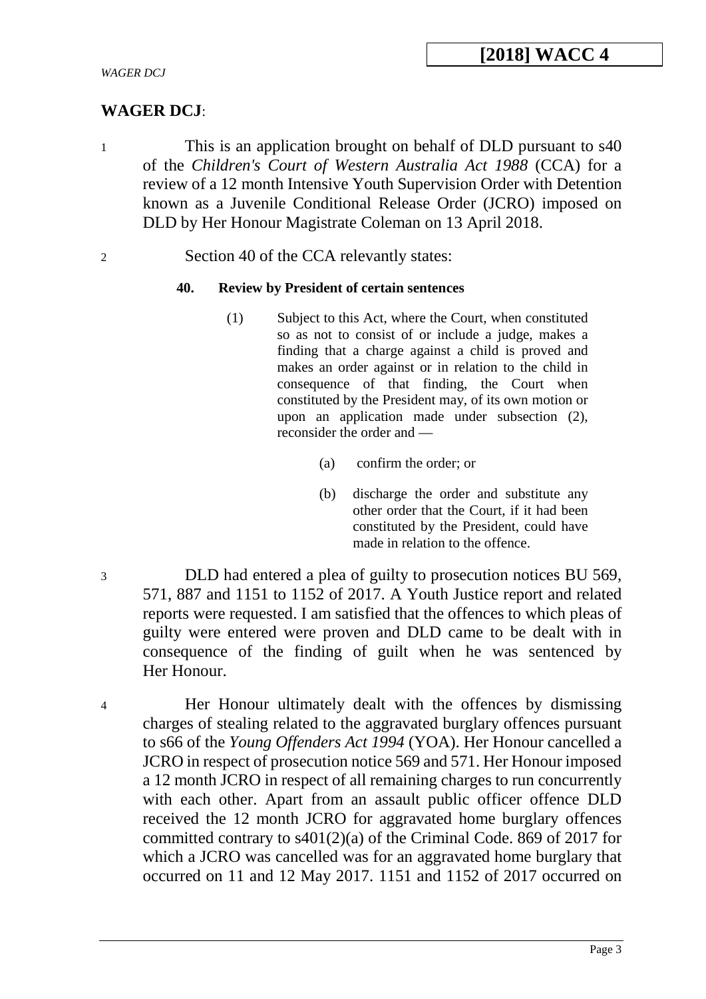# **WAGER DCJ**:

- 1 This is an application brought on behalf of DLD pursuant to s40 of the *Children's Court of Western Australia Act 1988* (CCA) for a review of a 12 month Intensive Youth Supervision Order with Detention known as a Juvenile Conditional Release Order (JCRO) imposed on DLD by Her Honour Magistrate Coleman on 13 April 2018.
- 2 Section 40 of the CCA relevantly states:

### **40. Review by President of certain sentences**

- (1) Subject to this Act, where the Court, when constituted so as not to consist of or include a judge, makes a finding that a charge against a child is proved and makes an order against or in relation to the child in consequence of that finding, the Court when constituted by the President may, of its own motion or upon an application made under subsection (2), reconsider the order and —
	- (a) confirm the order; or
	- (b) discharge the order and substitute any other order that the Court, if it had been constituted by the President, could have made in relation to the offence.

3 DLD had entered a plea of guilty to prosecution notices BU 569, 571, 887 and 1151 to 1152 of 2017. A Youth Justice report and related reports were requested. I am satisfied that the offences to which pleas of guilty were entered were proven and DLD came to be dealt with in consequence of the finding of guilt when he was sentenced by Her Honour.

4 Her Honour ultimately dealt with the offences by dismissing charges of stealing related to the aggravated burglary offences pursuant to s66 of the *Young Offenders Act 1994* (YOA). Her Honour cancelled a JCRO in respect of prosecution notice 569 and 571. Her Honour imposed a 12 month JCRO in respect of all remaining charges to run concurrently with each other. Apart from an assault public officer offence DLD received the 12 month JCRO for aggravated home burglary offences committed contrary to s401(2)(a) of the Criminal Code. 869 of 2017 for which a JCRO was cancelled was for an aggravated home burglary that occurred on 11 and 12 May 2017. 1151 and 1152 of 2017 occurred on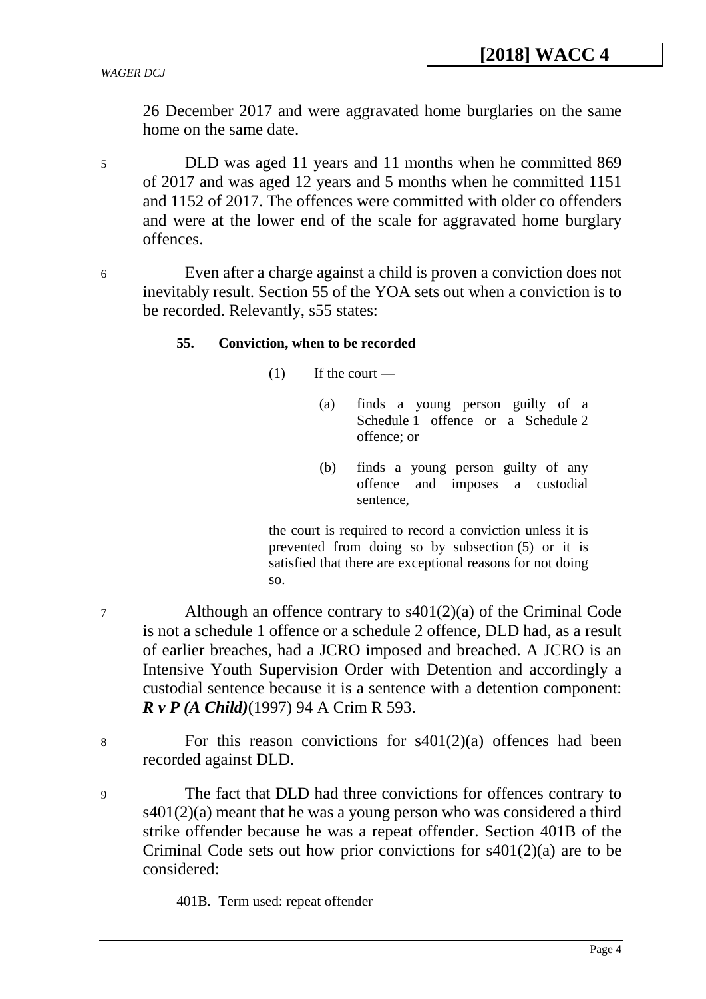26 December 2017 and were aggravated home burglaries on the same home on the same date.

- 5 DLD was aged 11 years and 11 months when he committed 869 of 2017 and was aged 12 years and 5 months when he committed 1151 and 1152 of 2017. The offences were committed with older co offenders and were at the lower end of the scale for aggravated home burglary offences.
- 

6 Even after a charge against a child is proven a conviction does not inevitably result. Section 55 of the YOA sets out when a conviction is to be recorded. Relevantly, s55 states:

#### **55. Conviction, when to be recorded**

 $(1)$  If the court —

- (a) finds a young person guilty of a Schedule 1 offence or a Schedule 2 offence; or
- (b) finds a young person guilty of any offence and imposes a custodial sentence,

the court is required to record a conviction unless it is prevented from doing so by subsection (5) or it is satisfied that there are exceptional reasons for not doing so.

- 7 Although an offence contrary to s401(2)(a) of the Criminal Code is not a schedule 1 offence or a schedule 2 offence, DLD had, as a result of earlier breaches, had a JCRO imposed and breached. A JCRO is an Intensive Youth Supervision Order with Detention and accordingly a custodial sentence because it is a sentence with a detention component: *R v P (A Child)*(1997) 94 A Crim R 593.
- 8 For this reason convictions for s401(2)(a) offences had been recorded against DLD.
- 9 The fact that DLD had three convictions for offences contrary to  $s401(2)$ (a) meant that he was a young person who was considered a third strike offender because he was a repeat offender. Section 401B of the Criminal Code sets out how prior convictions for s401(2)(a) are to be considered:

401B. Term used: repeat offender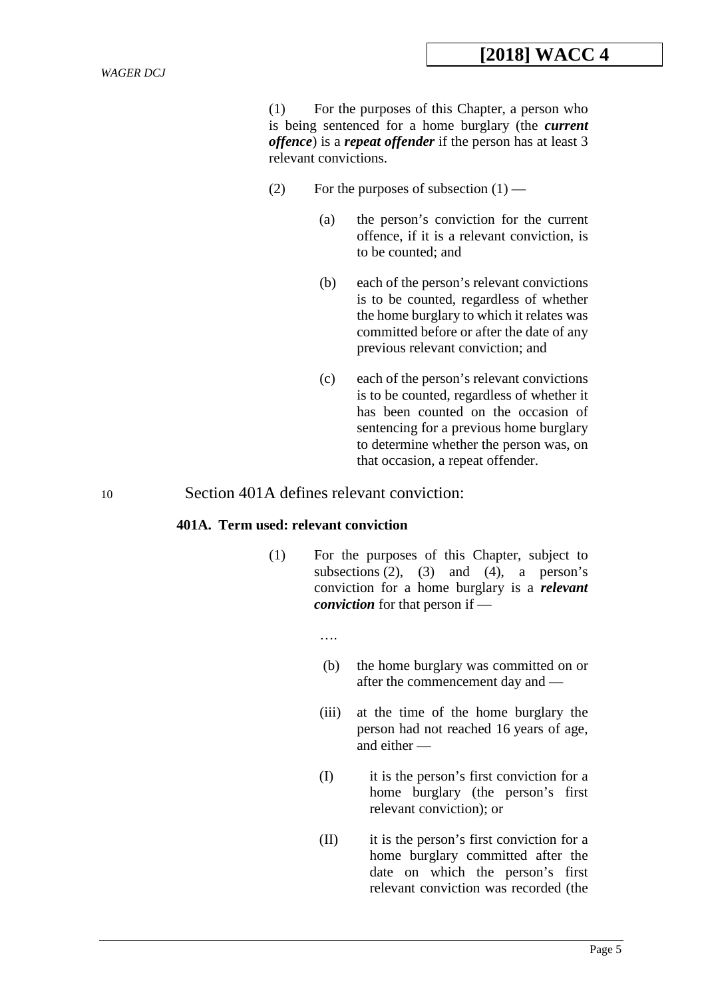(1) For the purposes of this Chapter, a person who is being sentenced for a home burglary (the *current offence*) is a *repeat offender* if the person has at least 3 relevant convictions.

- (2) For the purposes of subsection  $(1)$ 
	- (a) the person's conviction for the current offence, if it is a relevant conviction, is to be counted; and
	- (b) each of the person's relevant convictions is to be counted, regardless of whether the home burglary to which it relates was committed before or after the date of any previous relevant conviction; and
	- (c) each of the person's relevant convictions is to be counted, regardless of whether it has been counted on the occasion of sentencing for a previous home burglary to determine whether the person was, on that occasion, a repeat offender.

### 10 Section 401A defines relevant conviction:

#### **401A. Term used: relevant conviction**

(1) For the purposes of this Chapter, subject to subsections  $(2)$ ,  $(3)$  and  $(4)$ , a person's conviction for a home burglary is a *relevant conviction* for that person if —

….

- (b) the home burglary was committed on or after the commencement day and —
- (iii) at the time of the home burglary the person had not reached 16 years of age, and either —
- (I) it is the person's first conviction for a home burglary (the person's first relevant conviction); or
- (II) it is the person's first conviction for a home burglary committed after the date on which the person's first relevant conviction was recorded (the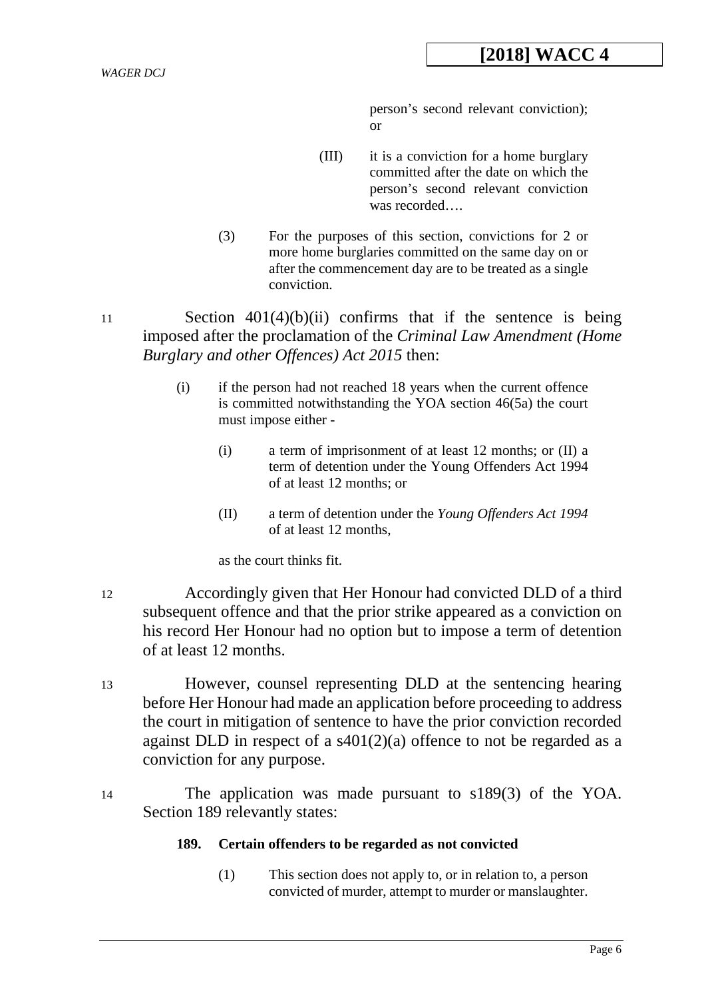person's second relevant conviction); or

- (III) it is a conviction for a home burglary committed after the date on which the person's second relevant conviction was recorded….
- (3) For the purposes of this section, convictions for 2 or more home burglaries committed on the same day on or after the commencement day are to be treated as a single conviction.
- 11 Section 401(4)(b)(ii) confirms that if the sentence is being imposed after the proclamation of the *Criminal Law Amendment (Home Burglary and other Offences) Act 2015* then:
	- (i) if the person had not reached 18 years when the current offence is committed notwithstanding the YOA section 46(5a) the court must impose either -
		- (i) a term of imprisonment of at least 12 months; or (II) a term of detention under the Young Offenders Act 1994 of at least 12 months; or
		- (II) a term of detention under the *Young Offenders Act 1994* of at least 12 months,

as the court thinks fit.

- 12 Accordingly given that Her Honour had convicted DLD of a third subsequent offence and that the prior strike appeared as a conviction on his record Her Honour had no option but to impose a term of detention of at least 12 months.
- 13 However, counsel representing DLD at the sentencing hearing before Her Honour had made an application before proceeding to address the court in mitigation of sentence to have the prior conviction recorded against DLD in respect of a  $s401(2)(a)$  offence to not be regarded as a conviction for any purpose.
- 14 The application was made pursuant to s189(3) of the YOA. Section 189 relevantly states:

### **189. Certain offenders to be regarded as not convicted**

(1) This section does not apply to, or in relation to, a person convicted of murder, attempt to murder or manslaughter.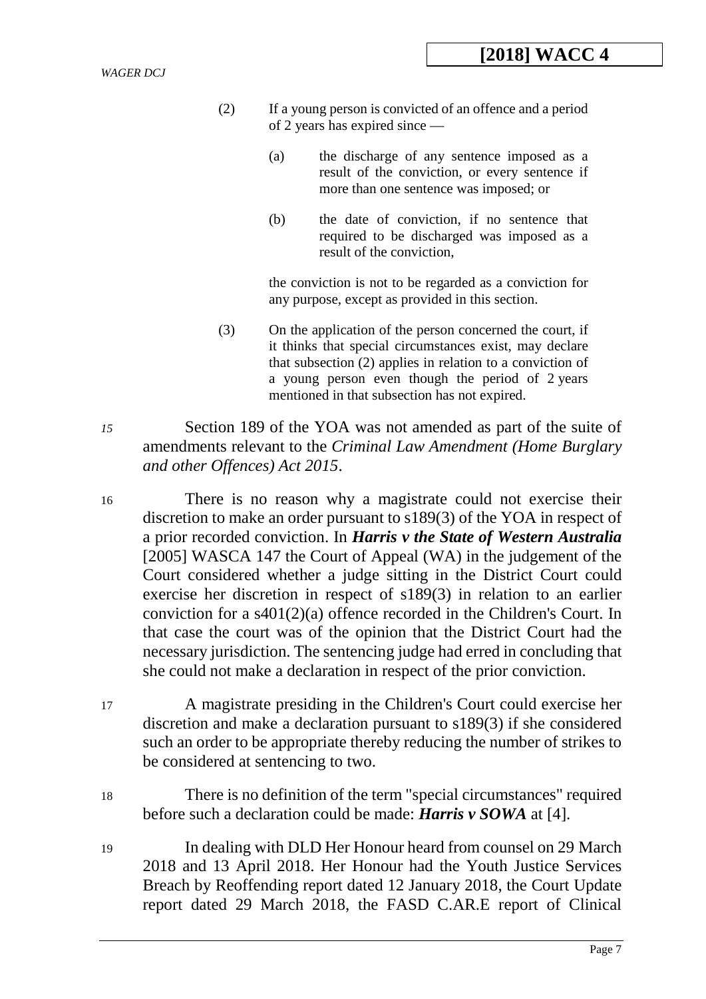- (2) If a young person is convicted of an offence and a period of 2 years has expired since —
	- (a) the discharge of any sentence imposed as a result of the conviction, or every sentence if more than one sentence was imposed; or
	- (b) the date of conviction, if no sentence that required to be discharged was imposed as a result of the conviction,

the conviction is not to be regarded as a conviction for any purpose, except as provided in this section.

- (3) On the application of the person concerned the court, if it thinks that special circumstances exist, may declare that subsection (2) applies in relation to a conviction of a young person even though the period of 2 years mentioned in that subsection has not expired.
- *15* Section 189 of the YOA was not amended as part of the suite of amendments relevant to the *Criminal Law Amendment (Home Burglary and other Offences) Act 2015*.
- 16 There is no reason why a magistrate could not exercise their discretion to make an order pursuant to s189(3) of the YOA in respect of a prior recorded conviction. In *Harris v the State of Western Australia* [2005] WASCA 147 the Court of Appeal (WA) in the judgement of the Court considered whether a judge sitting in the District Court could exercise her discretion in respect of s189(3) in relation to an earlier conviction for a s401(2)(a) offence recorded in the Children's Court. In that case the court was of the opinion that the District Court had the necessary jurisdiction. The sentencing judge had erred in concluding that she could not make a declaration in respect of the prior conviction.
- 17 A magistrate presiding in the Children's Court could exercise her discretion and make a declaration pursuant to s189(3) if she considered such an order to be appropriate thereby reducing the number of strikes to be considered at sentencing to two.
- 18 There is no definition of the term "special circumstances" required before such a declaration could be made: *Harris v SOWA* at [4].
- 19 In dealing with DLD Her Honour heard from counsel on 29 March 2018 and 13 April 2018. Her Honour had the Youth Justice Services Breach by Reoffending report dated 12 January 2018, the Court Update report dated 29 March 2018, the FASD C.AR.E report of Clinical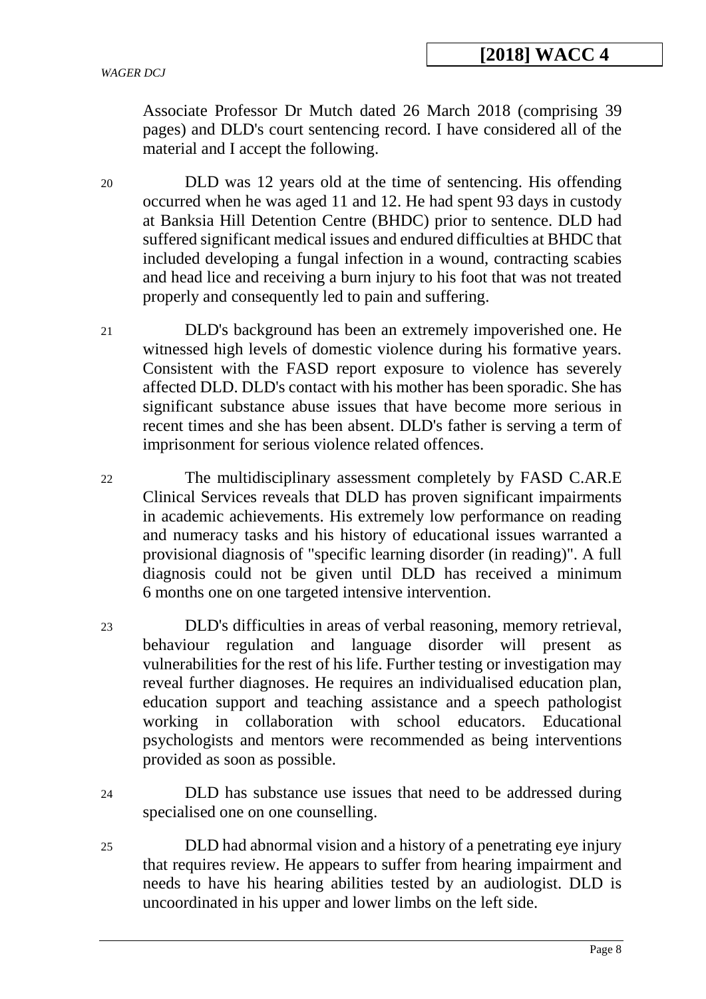Associate Professor Dr Mutch dated 26 March 2018 (comprising 39 pages) and DLD's court sentencing record. I have considered all of the material and I accept the following.

20 DLD was 12 years old at the time of sentencing. His offending occurred when he was aged 11 and 12. He had spent 93 days in custody at Banksia Hill Detention Centre (BHDC) prior to sentence. DLD had suffered significant medical issues and endured difficulties at BHDC that included developing a fungal infection in a wound, contracting scabies and head lice and receiving a burn injury to his foot that was not treated properly and consequently led to pain and suffering.

21 DLD's background has been an extremely impoverished one. He witnessed high levels of domestic violence during his formative years. Consistent with the FASD report exposure to violence has severely affected DLD. DLD's contact with his mother has been sporadic. She has significant substance abuse issues that have become more serious in recent times and she has been absent. DLD's father is serving a term of imprisonment for serious violence related offences.

22 The multidisciplinary assessment completely by FASD C.AR.E Clinical Services reveals that DLD has proven significant impairments in academic achievements. His extremely low performance on reading and numeracy tasks and his history of educational issues warranted a provisional diagnosis of "specific learning disorder (in reading)". A full diagnosis could not be given until DLD has received a minimum 6 months one on one targeted intensive intervention.

- 23 DLD's difficulties in areas of verbal reasoning, memory retrieval, behaviour regulation and language disorder will present as vulnerabilities for the rest of his life. Further testing or investigation may reveal further diagnoses. He requires an individualised education plan, education support and teaching assistance and a speech pathologist working in collaboration with school educators. Educational psychologists and mentors were recommended as being interventions provided as soon as possible.
- 24 DLD has substance use issues that need to be addressed during specialised one on one counselling.
- 25 DLD had abnormal vision and a history of a penetrating eye injury that requires review. He appears to suffer from hearing impairment and needs to have his hearing abilities tested by an audiologist. DLD is uncoordinated in his upper and lower limbs on the left side.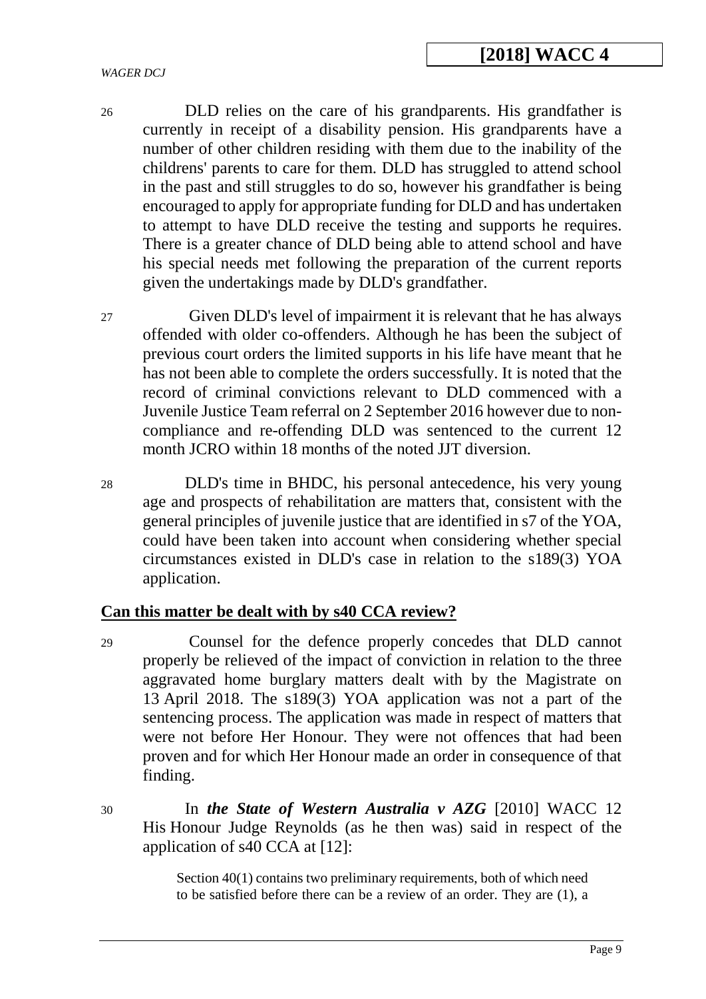26 DLD relies on the care of his grandparents. His grandfather is currently in receipt of a disability pension. His grandparents have a number of other children residing with them due to the inability of the childrens' parents to care for them. DLD has struggled to attend school in the past and still struggles to do so, however his grandfather is being encouraged to apply for appropriate funding for DLD and has undertaken to attempt to have DLD receive the testing and supports he requires. There is a greater chance of DLD being able to attend school and have his special needs met following the preparation of the current reports given the undertakings made by DLD's grandfather.

27 Given DLD's level of impairment it is relevant that he has always offended with older co-offenders. Although he has been the subject of previous court orders the limited supports in his life have meant that he has not been able to complete the orders successfully. It is noted that the record of criminal convictions relevant to DLD commenced with a Juvenile Justice Team referral on 2 September 2016 however due to noncompliance and re-offending DLD was sentenced to the current 12 month JCRO within 18 months of the noted JJT diversion.

28 DLD's time in BHDC, his personal antecedence, his very young age and prospects of rehabilitation are matters that, consistent with the general principles of juvenile justice that are identified in s7 of the YOA, could have been taken into account when considering whether special circumstances existed in DLD's case in relation to the s189(3) YOA application.

# **Can this matter be dealt with by s40 CCA review?**

29 Counsel for the defence properly concedes that DLD cannot properly be relieved of the impact of conviction in relation to the three aggravated home burglary matters dealt with by the Magistrate on 13 April 2018. The s189(3) YOA application was not a part of the sentencing process. The application was made in respect of matters that were not before Her Honour. They were not offences that had been proven and for which Her Honour made an order in consequence of that finding.

30 In *the State of Western Australia v AZG* [2010] WACC 12 His Honour Judge Reynolds (as he then was) said in respect of the application of s40 CCA at [12]:

> Section 40(1) contains two preliminary requirements, both of which need to be satisfied before there can be a review of an order. They are (1), a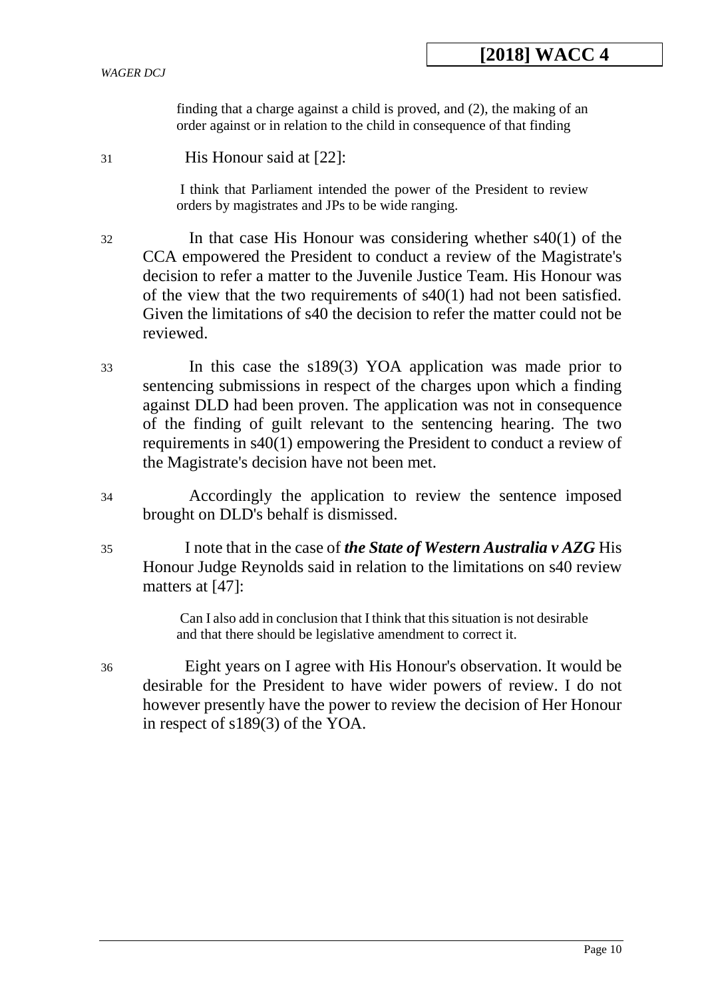finding that a charge against a child is proved, and (2), the making of an order against or in relation to the child in consequence of that finding

31 His Honour said at [22]:

I think that Parliament intended the power of the President to review orders by magistrates and JPs to be wide ranging.

- 32 In that case His Honour was considering whether s40(1) of the CCA empowered the President to conduct a review of the Magistrate's decision to refer a matter to the Juvenile Justice Team. His Honour was of the view that the two requirements of s40(1) had not been satisfied. Given the limitations of s40 the decision to refer the matter could not be reviewed.
- 33 In this case the s189(3) YOA application was made prior to sentencing submissions in respect of the charges upon which a finding against DLD had been proven. The application was not in consequence of the finding of guilt relevant to the sentencing hearing. The two requirements in s40(1) empowering the President to conduct a review of the Magistrate's decision have not been met.
- 34 Accordingly the application to review the sentence imposed brought on DLD's behalf is dismissed.
- 35 I note that in the case of *the State of Western Australia v AZG* His Honour Judge Reynolds said in relation to the limitations on s40 review matters at [47]:

Can I also add in conclusion that I think that this situation is not desirable and that there should be legislative amendment to correct it.

36 Eight years on I agree with His Honour's observation. It would be desirable for the President to have wider powers of review. I do not however presently have the power to review the decision of Her Honour in respect of s189(3) of the YOA.